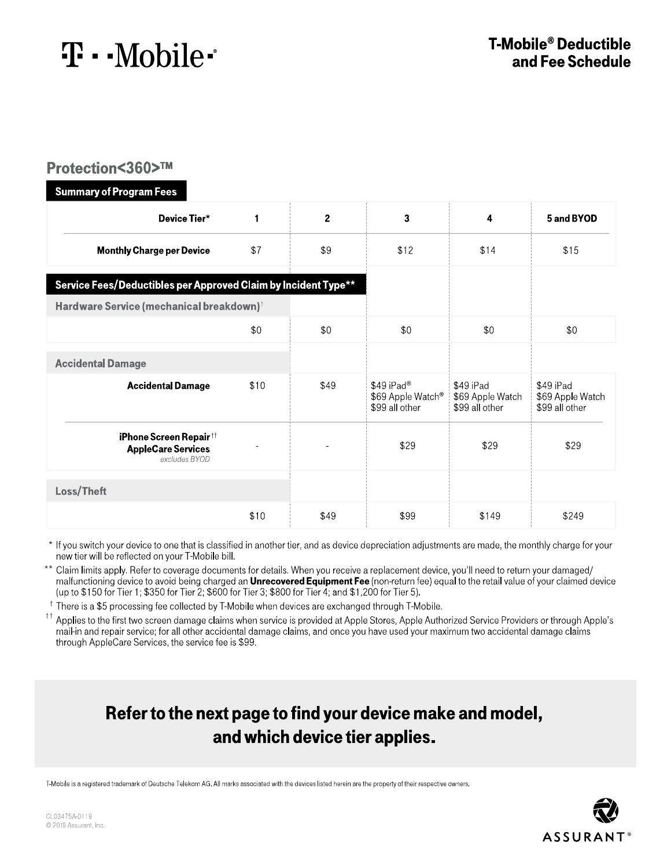$\mathbf{T} \cdot \text{Mobile}$ 

#### Protection<360>™

| <b>Summary of Program Fees</b>                                       |              |                |                                                               |                                                 |                                                 |
|----------------------------------------------------------------------|--------------|----------------|---------------------------------------------------------------|-------------------------------------------------|-------------------------------------------------|
| Device Tier*                                                         | $\mathbf{1}$ | $\overline{2}$ | 3                                                             | 4                                               | 5 and BYOD                                      |
| <b>Monthly Charge per Device</b>                                     | \$7          | \$9            | \$12                                                          | \$14                                            | \$15                                            |
| Service Fees/Deductibles per Approved Claim by Incident Type**       |              |                |                                                               |                                                 |                                                 |
| Hardware Service (mechanical breakdown) <sup>†</sup>                 |              |                |                                                               |                                                 |                                                 |
|                                                                      | \$0          | \$0            | \$0                                                           | \$0                                             | \$0                                             |
| <b>Accidental Damage</b>                                             |              |                |                                                               |                                                 |                                                 |
| <b>Accidental Damage</b>                                             | \$10         | \$49           | \$49 iPad®<br>\$69 Apple Watch <sup>®</sup><br>\$99 all other | \$49 iPad<br>\$69 Apple Watch<br>\$99 all other | \$49 iPad<br>\$69 Apple Watch<br>\$99 all other |
| iPhone Screen Repair††<br><b>AppleCare Services</b><br>excludes BYOD |              |                | \$29                                                          | \$29                                            | \$29                                            |
| Loss/Theft                                                           |              |                |                                                               |                                                 |                                                 |
|                                                                      | \$10         | \$49           | \$99                                                          | \$149                                           | \$249                                           |

\* If you switch your device to one that is classified in another tier, and as device depreciation adjustments are made, the monthly charge for your new tier will be reflected on your T-Mobile bill.

\*\* Claim limits apply. Refer to coverage documents for details. When you receive a replacement device, you'll need to return your damaged/ malfunctioning device to avoid being charged an **Unrecovered Equipment Fee** (non-return fee) equal to the retail value of your claimed device<br>(up to \$150 for Tier 1; \$350 for Tier 2; \$600 for Tier 3; \$800 for Tier 4; and \$

<sup>†</sup> There is a \$5 processing fee collected by T-Mobile when devices are exchanged through T-Mobile.

<sup>††</sup> Applies to the first two screen damage claims when service is provided at Apple Stores, Apple Authorized Service Providers or through Apple's mail-in and repair service; for all other accidental damage claims, and once you have used your maximum two accidental damage claims through AppleCare Services, the service fee is \$99.

### Refer to the next page to find your device make and model, and which device tier applies.

T-Mobile is a registered trademark of Deutsche Telekom AG. All marks associated with the devices listed herein are the property of their respective owners.

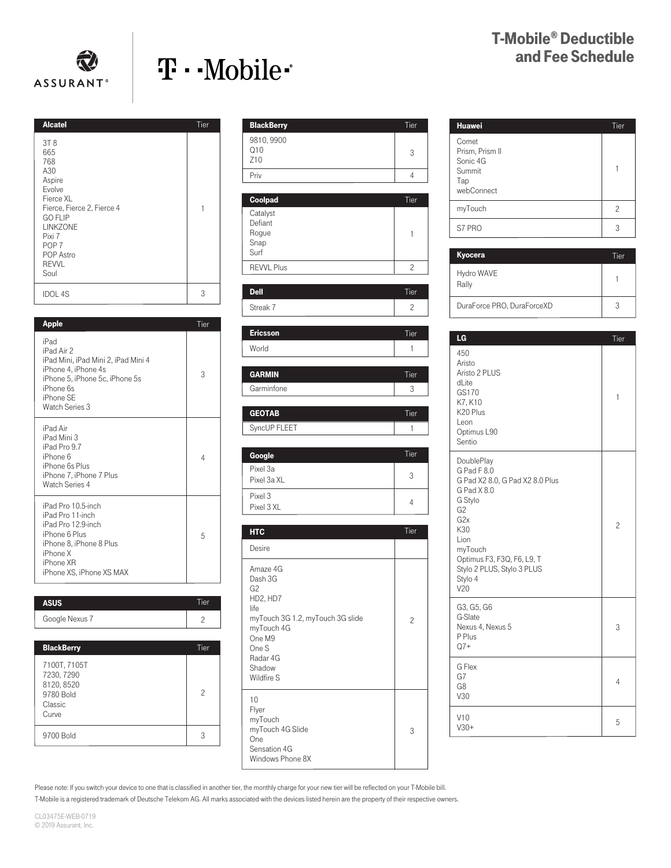

# T · · Mobile ·

## T-Mobile ® Deductible and Fee Schedule

| <b>Alcatel</b>                                                                                                                                                                                              | Tier |
|-------------------------------------------------------------------------------------------------------------------------------------------------------------------------------------------------------------|------|
| 3T <sub>8</sub><br>665<br>768<br>A30<br>Aspire<br>Evolve<br>Fierce XL<br>Fierce, Fierce 2, Fierce 4<br><b>GO FLIP</b><br><b>LINKZONE</b><br>Pixi 7<br>POP <sub>7</sub><br>POP Astro<br><b>REVVL</b><br>Soul | 1    |
| <b>IDOL 4S</b>                                                                                                                                                                                              | 3    |

| <b>Apple</b>                                                                                                                                                   | Tier |
|----------------------------------------------------------------------------------------------------------------------------------------------------------------|------|
| iPad<br>iPad Air 2<br>iPad Mini, iPad Mini 2, iPad Mini 4<br>iPhone 4, iPhone 4s<br>iPhone 5, iPhone 5c, iPhone 5s<br>iPhone 6s<br>iPhone SE<br>Watch Series 3 | 3    |
| iPad Air<br>iPad Mini 3<br>iPad Pro 9.7<br>iPhone 6<br>iPhone 6s Plus<br>iPhone 7, iPhone 7 Plus<br>Watch Series 4                                             | 4    |
| iPad Pro 10.5-inch<br>iPad Pro 11-inch<br>iPad Pro 12.9-inch<br>iPhone 6 Plus<br>iPhone 8, iPhone 8 Plus<br>iPhone X<br>iPhone XR<br>iPhone XS. iPhone XS MAX  | 5    |
| ASUS                                                                                                                                                           | Tier |

| <b>ASUS</b>    | Tier |
|----------------|------|
| Google Nexus 7 |      |

| <b>BlackBerry</b>                                                         | Tier |
|---------------------------------------------------------------------------|------|
| 7100T, 7105T<br>7230, 7290<br>8120, 8520<br>9780 Bold<br>Classic<br>Curve | 2    |
| 9700 Bold                                                                 |      |

| <b>BlackBerry</b>                            | Tier                   |
|----------------------------------------------|------------------------|
| 9810, 9900<br>Q10<br>Z <sub>10</sub>         | 3                      |
| Priv                                         | $\overline{4}$         |
| Coolpad                                      | Tier                   |
| Catalyst<br>Defiant<br>Rogue<br>Snap<br>Surf | 1                      |
| <b>REVVL Plus</b>                            | $\overline{c}$         |
| <b>Dell</b><br>Streak 7                      | Tier<br>$\overline{c}$ |
|                                              |                        |
| <b>Ericsson</b>                              | Tier                   |
| World                                        | 1                      |

| <b>GARMIN</b> | Tier |
|---------------|------|
| Garminfone    |      |
|               |      |
| <b>GEOTAB</b> | Tier |
| SyncUP FLEET  |      |

| Google                  | Tier |
|-------------------------|------|
| Pixel 3a<br>Pixel 3a XL | 3    |
| Pixel 3<br>Pixel 3 XL   |      |

| <b>HTC</b>                                                                                                                                             | Tier           |
|--------------------------------------------------------------------------------------------------------------------------------------------------------|----------------|
| Desire                                                                                                                                                 |                |
| Amaze 4G<br>Dash 3G<br>G2<br>HD2, HD7<br>life<br>myTouch 3G 1.2, myTouch 3G slide<br>myTouch 4G<br>One M9<br>One S<br>Radar 4G<br>Shadow<br>Wildfire S | $\overline{c}$ |
| 10<br>Flyer<br>myTouch<br>myTouch 4G Slide<br>One<br>Sensation 4G<br>Windows Phone 8X                                                                  | 3              |

| <b>Huawei</b>                                                       | Tier |
|---------------------------------------------------------------------|------|
| Comet<br>Prism, Prism II<br>Sonic 4G<br>Summit<br>Tap<br>webConnect |      |
| myTouch                                                             | 2    |
| S7 PRO                                                              | 3    |

| Kyocera                    | Tier |
|----------------------------|------|
| Hydro WAVE<br>Rally        |      |
| DuraForce PRO, DuraForceXD |      |

| LG                                                                                                                                                                                                                                   | Tier           |
|--------------------------------------------------------------------------------------------------------------------------------------------------------------------------------------------------------------------------------------|----------------|
| 450<br>Aristo<br>Aristo 2 PLUS<br>dLite<br>GS170<br>K7, K10<br>K20 Plus<br>Leon<br>Optimus L90<br>Sentio                                                                                                                             | 1              |
| DoublePlay<br>G Pad F 8.0<br>G Pad X2 8.0, G Pad X2 8.0 Plus<br>G Pad X 8.0<br>G Stylo<br>G <sub>2</sub><br>G <sub>2</sub> x<br>K30<br>Lion<br>myTouch<br>Optimus F3, F3Q, F6, L9, T<br>Stylo 2 PLUS, Stylo 3 PLUS<br>Stylo 4<br>V20 | $\overline{c}$ |
| G3, G5, G6<br>G-Slate<br>Nexus 4, Nexus 5<br>P Plus<br>$Q7+$                                                                                                                                                                         | 3              |
| G Flex<br>G7<br>G8<br>V30                                                                                                                                                                                                            | $\overline{4}$ |
| V10<br>$V30+$                                                                                                                                                                                                                        | 5              |

Please note: If you switch your device to one that is classified in another tier, the monthly charge for your new tier will be reflected on your T-Mobile bill.

T-Mobile is a registered trademark of Deutsche Telekom AG. All marks associated with the devices listed herein are the property of their respective owners.

CL03475E-WEB-0719 © 2019 Assurant, Inc.